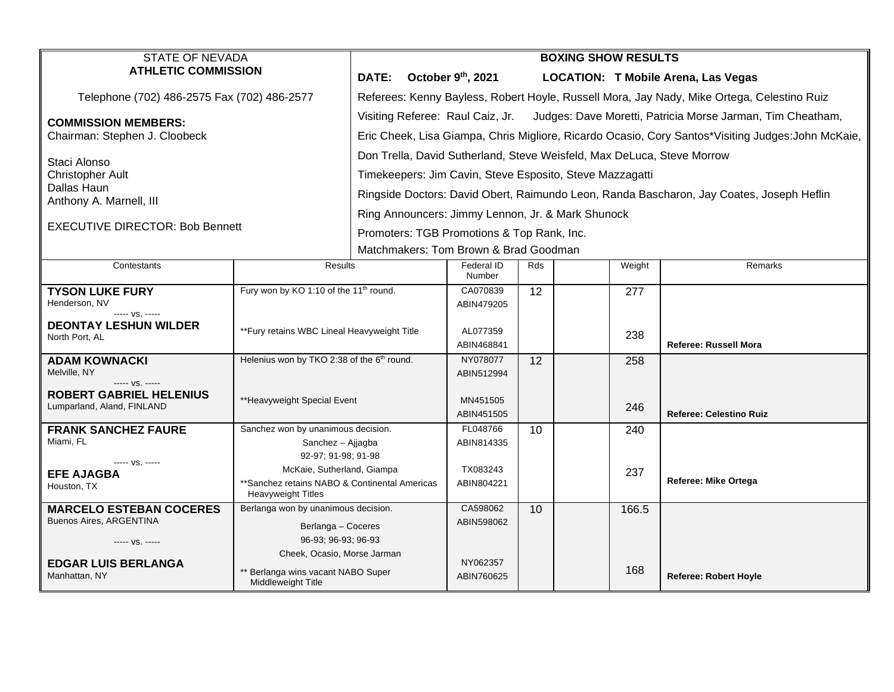| <b>STATE OF NEVADA</b><br><b>ATHLETIC COMMISSION</b>      |                                                                             | <b>BOXING SHOW RESULTS</b>                                                                        |                        |     |  |        |                                     |  |  |
|-----------------------------------------------------------|-----------------------------------------------------------------------------|---------------------------------------------------------------------------------------------------|------------------------|-----|--|--------|-------------------------------------|--|--|
|                                                           |                                                                             | <b>DATE:</b>                                                                                      | October 9th, 2021      |     |  |        | LOCATION: T Mobile Arena, Las Vegas |  |  |
| Telephone (702) 486-2575 Fax (702) 486-2577               |                                                                             | Referees: Kenny Bayless, Robert Hoyle, Russell Mora, Jay Nady, Mike Ortega, Celestino Ruiz        |                        |     |  |        |                                     |  |  |
| <b>COMMISSION MEMBERS:</b>                                |                                                                             | Visiting Referee: Raul Caiz, Jr. Judges: Dave Moretti, Patricia Morse Jarman, Tim Cheatham,       |                        |     |  |        |                                     |  |  |
| Chairman: Stephen J. Cloobeck                             |                                                                             | Eric Cheek, Lisa Giampa, Chris Migliore, Ricardo Ocasio, Cory Santos*Visiting Judges:John McKaie, |                        |     |  |        |                                     |  |  |
| Staci Alonso                                              |                                                                             | Don Trella, David Sutherland, Steve Weisfeld, Max DeLuca, Steve Morrow                            |                        |     |  |        |                                     |  |  |
| <b>Christopher Ault</b>                                   |                                                                             | Timekeepers: Jim Cavin, Steve Esposito, Steve Mazzagatti                                          |                        |     |  |        |                                     |  |  |
| Dallas Haun                                               |                                                                             | Ringside Doctors: David Obert, Raimundo Leon, Randa Bascharon, Jay Coates, Joseph Heflin          |                        |     |  |        |                                     |  |  |
| Anthony A. Marnell, III                                   |                                                                             | Ring Announcers: Jimmy Lennon, Jr. & Mark Shunock                                                 |                        |     |  |        |                                     |  |  |
| <b>EXECUTIVE DIRECTOR: Bob Bennett</b>                    |                                                                             | Promoters: TGB Promotions & Top Rank, Inc.                                                        |                        |     |  |        |                                     |  |  |
|                                                           |                                                                             | Matchmakers: Tom Brown & Brad Goodman                                                             |                        |     |  |        |                                     |  |  |
| Contestants                                               | Results                                                                     |                                                                                                   | Federal ID<br>Number   | Rds |  | Weight | Remarks                             |  |  |
| <b>TYSON LUKE FURY</b>                                    | Fury won by KO 1:10 of the 11 <sup>th</sup> round.                          |                                                                                                   | CA070839               | 12  |  | 277    |                                     |  |  |
| Henderson, NV<br>----- VS. -----                          |                                                                             |                                                                                                   | ABIN479205             |     |  |        |                                     |  |  |
| <b>DEONTAY LESHUN WILDER</b><br>North Port, AL            | **Fury retains WBC Lineal Heavyweight Title                                 |                                                                                                   | AL077359               |     |  | 238    |                                     |  |  |
|                                                           |                                                                             |                                                                                                   | ABIN468841             |     |  |        | Referee: Russell Mora               |  |  |
| <b>ADAM KOWNACKI</b><br>Melville, NY                      | Helenius won by TKO 2:38 of the 6 <sup>th</sup> round.                      |                                                                                                   | NY078077<br>ABIN512994 | 12  |  | 258    |                                     |  |  |
| ----- VS. -----<br><b>ROBERT GABRIEL HELENIUS</b>         |                                                                             |                                                                                                   |                        |     |  |        |                                     |  |  |
| Lumparland, Aland, FINLAND                                | **Heavyweight Special Event                                                 |                                                                                                   | MN451505               |     |  | 246    | <b>Referee: Celestino Ruiz</b>      |  |  |
| <b>FRANK SANCHEZ FAURE</b>                                | Sanchez won by unanimous decision.                                          |                                                                                                   | ABIN451505<br>FL048766 | 10  |  | 240    |                                     |  |  |
| Miami, FL                                                 | Sanchez - Ajjagba                                                           |                                                                                                   | ABIN814335             |     |  |        |                                     |  |  |
| ----- VS. -----                                           | 92-97; 91-98; 91-98                                                         |                                                                                                   | TX083243               |     |  |        |                                     |  |  |
| <b>EFE AJAGBA</b><br>Houston, TX                          | McKaie, Sutherland, Giampa<br>**Sanchez retains NABO & Continental Americas |                                                                                                   | ABIN804221             |     |  | 237    | Referee: Mike Ortega                |  |  |
|                                                           | Heavyweight Titles                                                          |                                                                                                   |                        |     |  |        |                                     |  |  |
| <b>MARCELO ESTEBAN COCERES</b><br>Buenos Aires, ARGENTINA | Berlanga won by unanimous decision.                                         |                                                                                                   | CA598062<br>ABIN598062 | 10  |  | 166.5  |                                     |  |  |
| ----- VS. -----                                           | Berlanga - Coceres<br>96-93; 96-93; 96-93                                   |                                                                                                   |                        |     |  |        |                                     |  |  |
|                                                           | Cheek, Ocasio, Morse Jarman                                                 |                                                                                                   | NY062357               |     |  |        |                                     |  |  |
| <b>EDGAR LUIS BERLANGA</b><br>Manhattan, NY               | Berlanga wins vacant NABO Super<br>Middleweight Title                       |                                                                                                   | ABIN760625             |     |  | 168    | <b>Referee: Robert Hoyle</b>        |  |  |